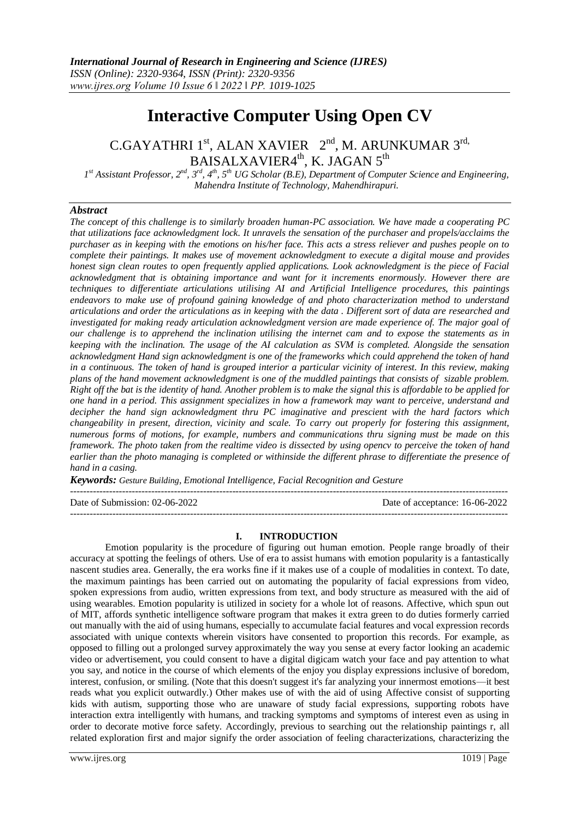# **Interactive Computer Using Open CV**

 $C.GAYATHRI 1<sup>st</sup>, ALAN XAVIER 2<sup>nd</sup>, M. ARUNKUMAR 3<sup>rd</sup>,$ BAISALXAVIER4<sup>th</sup>, K. JAGAN 5<sup>th</sup>

*1 st Assistant Professor, 2nd, 3rd, 4th, 5th UG Scholar (B.E), Department of Computer Science and Engineering, Mahendra Institute of Technology, Mahendhirapuri.*

# *Abstract*

*The concept of this challenge is to similarly broaden human-PC association. We have made a cooperating PC that utilizations face acknowledgment lock. It unravels the sensation of the purchaser and propels/acclaims the purchaser as in keeping with the emotions on his/her face. This acts a stress reliever and pushes people on to complete their paintings. It makes use of movement acknowledgment to execute a digital mouse and provides honest sign clean routes to open frequently applied applications. Look acknowledgment is the piece of Facial acknowledgment that is obtaining importance and want for it increments enormously. However there are techniques to differentiate articulations utilising AI and Artificial Intelligence procedures, this paintings endeavors to make use of profound gaining knowledge of and photo characterization method to understand articulations and order the articulations as in keeping with the data . Different sort of data are researched and investigated for making ready articulation acknowledgment version are made experience of. The major goal of our challenge is to apprehend the inclination utilising the internet cam and to expose the statements as in keeping with the inclination. The usage of the AI calculation as SVM is completed. Alongside the sensation acknowledgment Hand sign acknowledgment is one of the frameworks which could apprehend the token of hand in a continuous. The token of hand is grouped interior a particular vicinity of interest. In this review, making plans of the hand movement acknowledgment is one of the muddled paintings that consists of sizable problem. Right off the bat is the identity of hand. Another problem is to make the signal this is affordable to be applied for one hand in a period. This assignment specializes in how a framework may want to perceive, understand and decipher the hand sign acknowledgment thru PC imaginative and prescient with the hard factors which changeability in present, direction, vicinity and scale. To carry out properly for fostering this assignment, numerous forms of motions, for example, numbers and communications thru signing must be made on this framework. The photo taken from the realtime video is dissected by using opencv to perceive the token of hand earlier than the photo managing is completed or withinside the different phrase to differentiate the presence of hand in a casing.*

*Keywords: Gesture Building, Emotional Intelligence, Facial Recognition and Gesture* 

Date of Submission: 02-06-2022 Date of acceptance: 16-06-2022

---------------------------------------------------------------------------------------------------------------------------------------

**I. INTRODUCTION**

---------------------------------------------------------------------------------------------------------------------------------------

Emotion popularity is the procedure of figuring out human emotion. People range broadly of their accuracy at spotting the feelings of others. Use of era to assist humans with emotion popularity is a fantastically nascent studies area. Generally, the era works fine if it makes use of a couple of modalities in context. To date, the maximum paintings has been carried out on automating the popularity of facial expressions from video, spoken expressions from audio, written expressions from text, and body structure as measured with the aid of using wearables. Emotion popularity is utilized in society for a whole lot of reasons. Affective, which spun out of MIT, affords synthetic intelligence software program that makes it extra green to do duties formerly carried out manually with the aid of using humans, especially to accumulate facial features and vocal expression records associated with unique contexts wherein visitors have consented to proportion this records. For example, as opposed to filling out a prolonged survey approximately the way you sense at every factor looking an academic video or advertisement, you could consent to have a digital digicam watch your face and pay attention to what you say, and notice in the course of which elements of the enjoy you display expressions inclusive of boredom, interest, confusion, or smiling. (Note that this doesn't suggest it's far analyzing your innermost emotions—it best reads what you explicit outwardly.) Other makes use of with the aid of using Affective consist of supporting kids with autism, supporting those who are unaware of study facial expressions, supporting robots have interaction extra intelligently with humans, and tracking symptoms and symptoms of interest even as using in order to decorate motive force safety. Accordingly, previous to searching out the relationship paintings r, all related exploration first and major signify the order association of feeling characterizations, characterizing the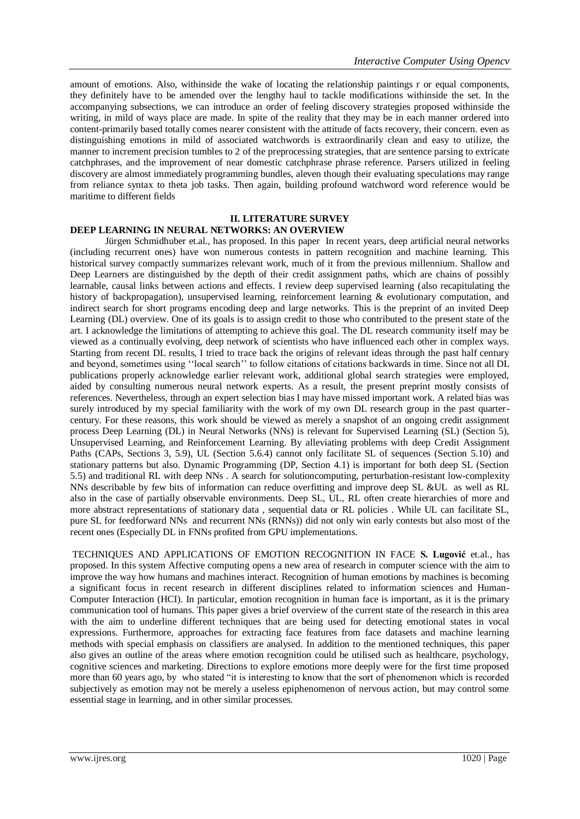amount of emotions. Also, withinside the wake of locating the relationship paintings r or equal components, they definitely have to be amended over the lengthy haul to tackle modifications withinside the set. In the accompanying subsections, we can introduce an order of feeling discovery strategies proposed withinside the writing, in mild of ways place are made. In spite of the reality that they may be in each manner ordered into content-primarily based totally comes nearer consistent with the attitude of facts recovery, their concern. even as distinguishing emotions in mild of associated watchwords is extraordinarily clean and easy to utilize, the manner to increment precision tumbles to 2 of the preprocessing strategies, that are sentence parsing to extricate catchphrases, and the improvement of near domestic catchphrase phrase reference. Parsers utilized in feeling discovery are almost immediately programming bundles, aleven though their evaluating speculations may range from reliance syntax to theta job tasks. Then again, building profound watchword word reference would be maritime to different fields

#### **II. LITERATURE SURVEY DEEP LEARNING IN NEURAL NETWORKS: AN OVERVIEW**

Jürgen Schmidhuber et.al., has proposed. In this paper In recent years, deep artificial neural networks (including recurrent ones) have won numerous contests in pattern recognition and machine learning. This historical survey compactly summarizes relevant work, much of it from the previous millennium. Shallow and Deep Learners are distinguished by the depth of their credit assignment paths, which are chains of possibly learnable, causal links between actions and effects. I review deep supervised learning (also recapitulating the history of backpropagation), unsupervised learning, reinforcement learning & evolutionary computation, and indirect search for short programs encoding deep and large networks. This is the preprint of an invited Deep Learning (DL) overview. One of its goals is to assign credit to those who contributed to the present state of the art. I acknowledge the limitations of attempting to achieve this goal. The DL research community itself may be viewed as a continually evolving, deep network of scientists who have influenced each other in complex ways. Starting from recent DL results, I tried to trace back the origins of relevant ideas through the past half century and beyond, sometimes using ''local search'' to follow citations of citations backwards in time. Since not all DL publications properly acknowledge earlier relevant work, additional global search strategies were employed, aided by consulting numerous neural network experts. As a result, the present preprint mostly consists of references. Nevertheless, through an expert selection bias I may have missed important work. A related bias was surely introduced by my special familiarity with the work of my own DL research group in the past quartercentury. For these reasons, this work should be viewed as merely a snapshot of an ongoing credit assignment process Deep Learning (DL) in Neural Networks (NNs) is relevant for Supervised Learning (SL) (Section 5), Unsupervised Learning, and Reinforcement Learning. By alleviating problems with deep Credit Assignment Paths (CAPs, Sections 3, 5.9), UL (Section 5.6.4) cannot only facilitate SL of sequences (Section 5.10) and stationary patterns but also. Dynamic Programming (DP, Section 4.1) is important for both deep SL (Section 5.5) and traditional RL with deep NNs . A search for solutioncomputing, perturbation-resistant low-complexity NNs describable by few bits of information can reduce overfitting and improve deep SL &UL as well as RL also in the case of partially observable environments. Deep SL, UL, RL often create hierarchies of more and more abstract representations of stationary data , sequential data or RL policies . While UL can facilitate SL, pure SL for feedforward NNs and recurrent NNs (RNNs)) did not only win early contests but also most of the recent ones (Especially DL in FNNs profited from GPU implementations.

TECHNIQUES AND APPLICATIONS OF EMOTION RECOGNITION IN FACE **S. Lugović** et.al., has proposed. In this system Affective computing opens a new area of research in computer science with the aim to improve the way how humans and machines interact. Recognition of human emotions by machines is becoming a significant focus in recent research in different disciplines related to information sciences and Human-Computer Interaction (HCI). In particular, emotion recognition in human face is important, as it is the primary communication tool of humans. This paper gives a brief overview of the current state of the research in this area with the aim to underline different techniques that are being used for detecting emotional states in vocal expressions. Furthermore, approaches for extracting face features from face datasets and machine learning methods with special emphasis on classifiers are analysed. In addition to the mentioned techniques, this paper also gives an outline of the areas where emotion recognition could be utilised such as healthcare, psychology, cognitive sciences and marketing. Directions to explore emotions more deeply were for the first time proposed more than 60 years ago, by who stated "it is interesting to know that the sort of phenomenon which is recorded subjectively as emotion may not be merely a useless epiphenomenon of nervous action, but may control some essential stage in learning, and in other similar processes.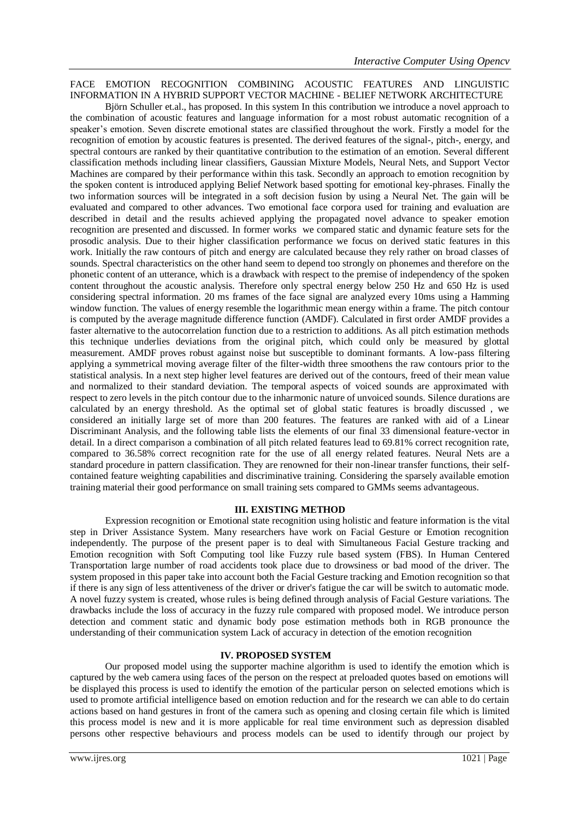# FACE EMOTION RECOGNITION COMBINING ACOUSTIC FEATURES AND LINGUISTIC INFORMATION IN A HYBRID SUPPORT VECTOR MACHINE - BELIEF NETWORK ARCHITECTURE

Björn Schuller et.al., has proposed. In this system In this contribution we introduce a novel approach to the combination of acoustic features and language information for a most robust automatic recognition of a speaker's emotion. Seven discrete emotional states are classified throughout the work. Firstly a model for the recognition of emotion by acoustic features is presented. The derived features of the signal-, pitch-, energy, and spectral contours are ranked by their quantitative contribution to the estimation of an emotion. Several different classification methods including linear classifiers, Gaussian Mixture Models, Neural Nets, and Support Vector Machines are compared by their performance within this task. Secondly an approach to emotion recognition by the spoken content is introduced applying Belief Network based spotting for emotional key-phrases. Finally the two information sources will be integrated in a soft decision fusion by using a Neural Net. The gain will be evaluated and compared to other advances. Two emotional face corpora used for training and evaluation are described in detail and the results achieved applying the propagated novel advance to speaker emotion recognition are presented and discussed. In former works we compared static and dynamic feature sets for the prosodic analysis. Due to their higher classification performance we focus on derived static features in this work. Initially the raw contours of pitch and energy are calculated because they rely rather on broad classes of sounds. Spectral characteristics on the other hand seem to depend too strongly on phonemes and therefore on the phonetic content of an utterance, which is a drawback with respect to the premise of independency of the spoken content throughout the acoustic analysis. Therefore only spectral energy below 250 Hz and 650 Hz is used considering spectral information. 20 ms frames of the face signal are analyzed every 10ms using a Hamming window function. The values of energy resemble the logarithmic mean energy within a frame. The pitch contour is computed by the average magnitude difference function (AMDF). Calculated in first order AMDF provides a faster alternative to the autocorrelation function due to a restriction to additions. As all pitch estimation methods this technique underlies deviations from the original pitch, which could only be measured by glottal measurement. AMDF proves robust against noise but susceptible to dominant formants. A low-pass filtering applying a symmetrical moving average filter of the filter-width three smoothens the raw contours prior to the statistical analysis. In a next step higher level features are derived out of the contours, freed of their mean value and normalized to their standard deviation. The temporal aspects of voiced sounds are approximated with respect to zero levels in the pitch contour due to the inharmonic nature of unvoiced sounds. Silence durations are calculated by an energy threshold. As the optimal set of global static features is broadly discussed , we considered an initially large set of more than 200 features. The features are ranked with aid of a Linear Discriminant Analysis, and the following table lists the elements of our final 33 dimensional feature-vector in detail. In a direct comparison a combination of all pitch related features lead to 69.81% correct recognition rate, compared to 36.58% correct recognition rate for the use of all energy related features. Neural Nets are a standard procedure in pattern classification. They are renowned for their non-linear transfer functions, their selfcontained feature weighting capabilities and discriminative training. Considering the sparsely available emotion training material their good performance on small training sets compared to GMMs seems advantageous.

### **III. EXISTING METHOD**

Expression recognition or Emotional state recognition using holistic and feature information is the vital step in Driver Assistance System. Many researchers have work on Facial Gesture or Emotion recognition independently. The purpose of the present paper is to deal with Simultaneous Facial Gesture tracking and Emotion recognition with Soft Computing tool like Fuzzy rule based system (FBS). In Human Centered Transportation large number of road accidents took place due to drowsiness or bad mood of the driver. The system proposed in this paper take into account both the Facial Gesture tracking and Emotion recognition so that if there is any sign of less attentiveness of the driver or driver's fatigue the car will be switch to automatic mode. A novel fuzzy system is created, whose rules is being defined through analysis of Facial Gesture variations. The drawbacks include the loss of accuracy in the fuzzy rule compared with proposed model. We introduce person detection and comment static and dynamic body pose estimation methods both in RGB pronounce the understanding of their communication system Lack of accuracy in detection of the emotion recognition

### **IV. PROPOSED SYSTEM**

Our proposed model using the supporter machine algorithm is used to identify the emotion which is captured by the web camera using faces of the person on the respect at preloaded quotes based on emotions will be displayed this process is used to identify the emotion of the particular person on selected emotions which is used to promote artificial intelligence based on emotion reduction and for the research we can able to do certain actions based on hand gestures in front of the camera such as opening and closing certain file which is limited this process model is new and it is more applicable for real time environment such as depression disabled persons other respective behaviours and process models can be used to identify through our project by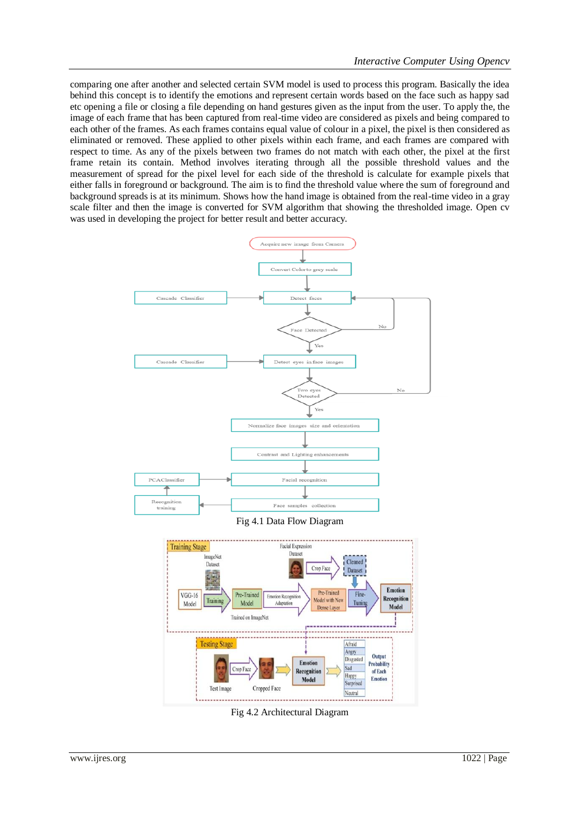comparing one after another and selected certain SVM model is used to process this program. Basically the idea behind this concept is to identify the emotions and represent certain words based on the face such as happy sad etc opening a file or closing a file depending on hand gestures given as the input from the user. To apply the, the image of each frame that has been captured from real-time video are considered as pixels and being compared to each other of the frames. As each frames contains equal value of colour in a pixel, the pixel is then considered as eliminated or removed. These applied to other pixels within each frame, and each frames are compared with respect to time. As any of the pixels between two frames do not match with each other, the pixel at the first frame retain its contain. Method involves iterating through all the possible threshold values and the measurement of spread for the pixel level for each side of the threshold is calculate for example pixels that either falls in foreground or background. The aim is to find the threshold value where the sum of foreground and background spreads is at its minimum. Shows how the hand image is obtained from the real-time video in a gray scale filter and then the image is converted for SVM algorithm that showing the thresholded image. Open cv was used in developing the project for better result and better accuracy.



Fig 4.2 Architectural Diagram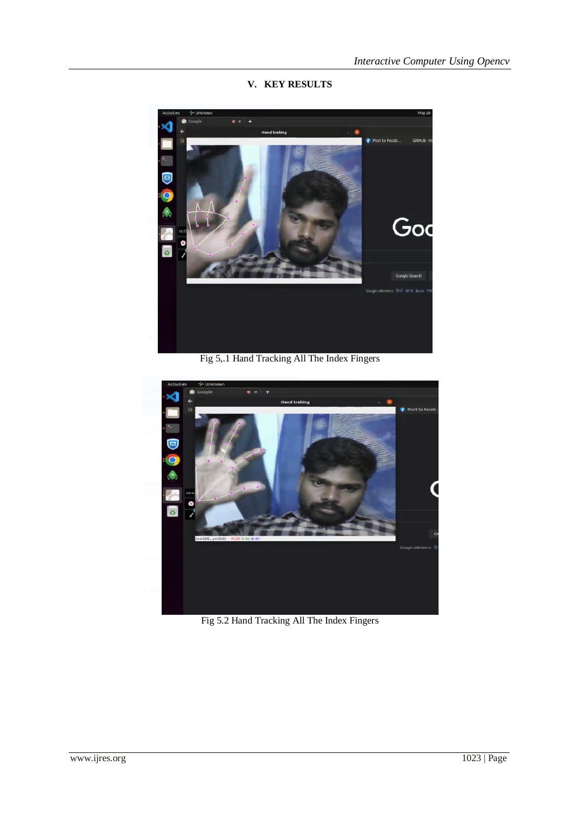**V. KEY RESULTS**



Fig 5,.1 Hand Tracking All The Index Fingers



Fig 5.2 Hand Tracking All The Index Fingers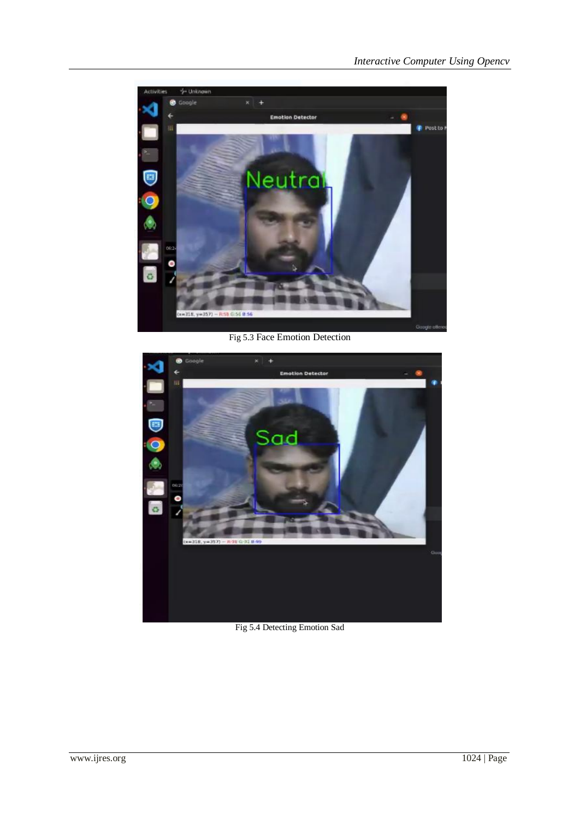![](_page_5_Picture_1.jpeg)

Fig 5.3 Face Emotion Detection

![](_page_5_Picture_3.jpeg)

Fig 5.4 Detecting Emotion Sad